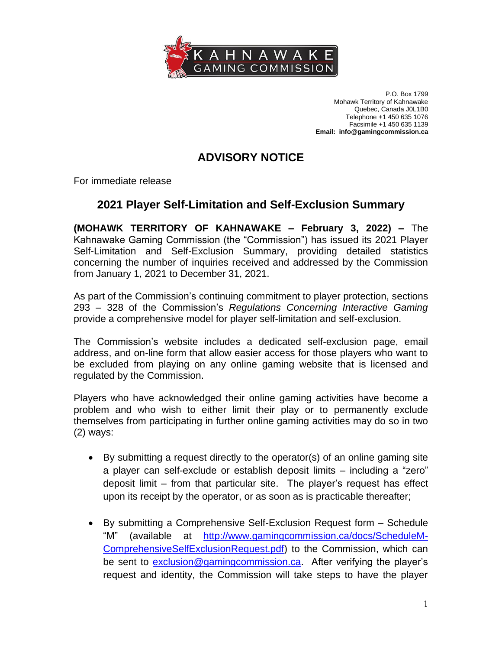

P.O. Box 1799 Mohawk Territory of Kahnawake Quebec, Canada J0L1B0 Telephone +1 450 635 1076 Facsimile +1 450 635 1139 **Email: info@gamingcommission.ca**

## **ADVISORY NOTICE**

For immediate release

## **2021 Player Self-Limitation and Self-Exclusion Summary**

**(MOHAWK TERRITORY OF KAHNAWAKE – February 3, 2022) –** The Kahnawake Gaming Commission (the "Commission") has issued its 2021 Player Self-Limitation and Self-Exclusion Summary, providing detailed statistics concerning the number of inquiries received and addressed by the Commission from January 1, 2021 to December 31, 2021.

As part of the Commission's continuing commitment to player protection, sections 293 – 328 of the Commission's *Regulations Concerning Interactive Gaming* provide a comprehensive model for player self-limitation and self-exclusion.

The Commission's website includes a dedicated self-exclusion page, email address, and on-line form that allow easier access for those players who want to be excluded from playing on any online gaming website that is licensed and regulated by the Commission.

Players who have acknowledged their online gaming activities have become a problem and who wish to either limit their play or to permanently exclude themselves from participating in further online gaming activities may do so in two (2) ways:

- By submitting a request directly to the operator(s) of an online gaming site a player can self-exclude or establish deposit limits – including a "zero" deposit limit – from that particular site. The player's request has effect upon its receipt by the operator, or as soon as is practicable thereafter;
- By submitting a Comprehensive Self-Exclusion Request form Schedule "M" (available at [http://www.gamingcommission.ca/docs/ScheduleM-](http://www.gamingcommission.ca/docs/ScheduleM-ComprehensiveSelfExclusionRequest.pdf)[ComprehensiveSelfExclusionRequest.pdf\)](http://www.gamingcommission.ca/docs/ScheduleM-ComprehensiveSelfExclusionRequest.pdf) to the Commission, which can be sent to [exclusion@gamingcommission.ca.](mailto:exclusion@gamingcommission.ca) After verifying the player's request and identity, the Commission will take steps to have the player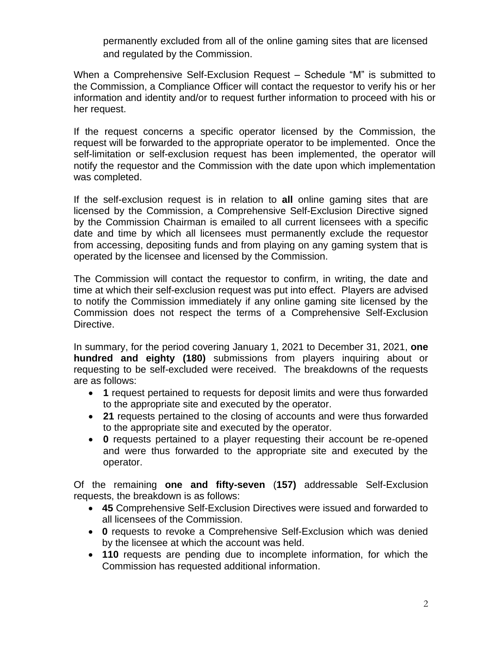permanently excluded from all of the online gaming sites that are licensed and regulated by the Commission.

When a Comprehensive Self-Exclusion Request – Schedule "M" is submitted to the Commission, a Compliance Officer will contact the requestor to verify his or her information and identity and/or to request further information to proceed with his or her request.

If the request concerns a specific operator licensed by the Commission, the request will be forwarded to the appropriate operator to be implemented. Once the self-limitation or self-exclusion request has been implemented, the operator will notify the requestor and the Commission with the date upon which implementation was completed.

If the self-exclusion request is in relation to **all** online gaming sites that are licensed by the Commission, a Comprehensive Self-Exclusion Directive signed by the Commission Chairman is emailed to all current licensees with a specific date and time by which all licensees must permanently exclude the requestor from accessing, depositing funds and from playing on any gaming system that is operated by the licensee and licensed by the Commission.

The Commission will contact the requestor to confirm, in writing, the date and time at which their self-exclusion request was put into effect. Players are advised to notify the Commission immediately if any online gaming site licensed by the Commission does not respect the terms of a Comprehensive Self-Exclusion Directive.

In summary, for the period covering January 1, 2021 to December 31, 2021, **one hundred and eighty (180)** submissions from players inquiring about or requesting to be self-excluded were received. The breakdowns of the requests are as follows:

- **1** request pertained to requests for deposit limits and were thus forwarded to the appropriate site and executed by the operator.
- **21** requests pertained to the closing of accounts and were thus forwarded to the appropriate site and executed by the operator.
- **0** requests pertained to a player requesting their account be re-opened and were thus forwarded to the appropriate site and executed by the operator.

Of the remaining **one and fifty-seven** (**157)** addressable Self-Exclusion requests, the breakdown is as follows:

- **45** Comprehensive Self-Exclusion Directives were issued and forwarded to all licensees of the Commission.
- **0** requests to revoke a Comprehensive Self-Exclusion which was denied by the licensee at which the account was held.
- **110** requests are pending due to incomplete information, for which the Commission has requested additional information.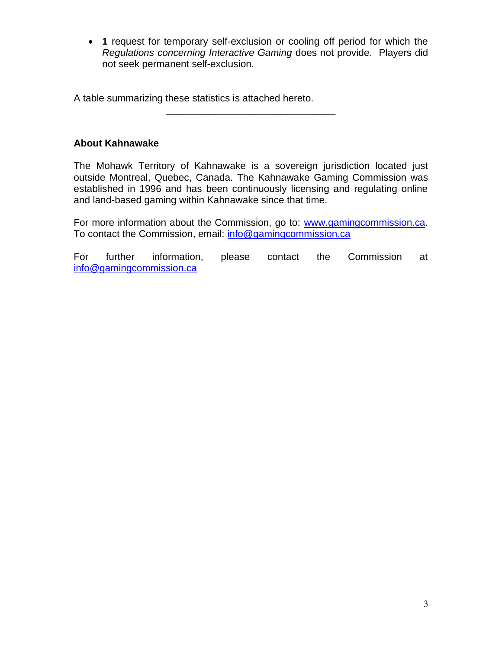• **1** request for temporary self-exclusion or cooling off period for which the *Regulations concerning Interactive Gaming* does not provide. Players did not seek permanent self-exclusion.

A table summarizing these statistics is attached hereto.

## **About Kahnawake**

The Mohawk Territory of Kahnawake is a sovereign jurisdiction located just outside Montreal, Quebec, Canada. The Kahnawake Gaming Commission was established in 1996 and has been continuously licensing and regulating online and land-based gaming within Kahnawake since that time.

\_\_\_\_\_\_\_\_\_\_\_\_\_\_\_\_\_\_\_\_\_\_\_\_\_\_\_\_\_\_\_

For more information about the Commission, go to: [www.gamingcommission.ca.](http://www.gamingcommission.ca/) To contact the Commission, email: [info@gamingcommission.ca](mailto:info@gamingcommission.ca)

For further information, please contact the Commission at [info@gamingcommission.ca](mailto:info@gamingcommission.ca)